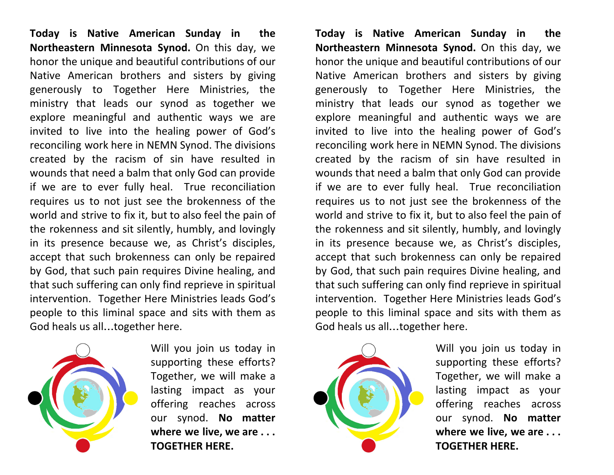**Today is Native American Sunday in the Northeastern Minnesota Synod.** On this day, we honor the unique and beautiful contributions of our Native American brothers and sisters by giving generously to Together Here Ministries, the ministry that leads our synod as together we explore meaningful and authentic ways we are invited to live into the healing power of God's reconciling work here in NEMN Synod. The divisions created by the racism of sin have resulted in wounds that need a balm that only God can provide if we are to ever fully heal. True reconciliation requires us to not just see the brokenness of the world and strive to fix it, but to also feel the pain of the rokenness and sit silently, humbly, and lovingly in its presence because we, as Christ's disciples, accept that such brokenness can only be repaired by God, that such pain requires Divine healing, and that such suffering can only find reprieve in spiritual intervention. Together Here Ministries leads God's people to this liminal space and sits with them as God heals us all…together here.



Will you join us today in supporting these efforts? Together, we will make a lasting impact as your offering reaches across our synod. **No matter where we live, we are . . . TOGETHER HERE.**

**Today is Native American Sunday in the Northeastern Minnesota Synod.** On this day, we honor the unique and beautiful contributions of our Native American brothers and sisters by giving generously to Together Here Ministries, the ministry that leads our synod as together we explore meaningful and authentic ways we are invited to live into the healing power of God's reconciling work here in NEMN Synod. The divisions created by the racism of sin have resulted in wounds that need a balm that only God can provide if we are to ever fully heal. True reconciliation requires us to not just see the brokenness of the world and strive to fix it, but to also feel the pain of the rokenness and sit silently, humbly, and lovingly in its presence because we, as Christ's disciples, accept that such brokenness can only be repaired by God, that such pain requires Divine healing, and that such suffering can only find reprieve in spiritual intervention. Together Here Ministries leads God's people to this liminal space and sits with them as God heals us all…together here.



Will you join us today in supporting these efforts? Together, we will make a lasting impact as your offering reaches across our synod. **No matter where we live, we are . . . TOGETHER HERE.**